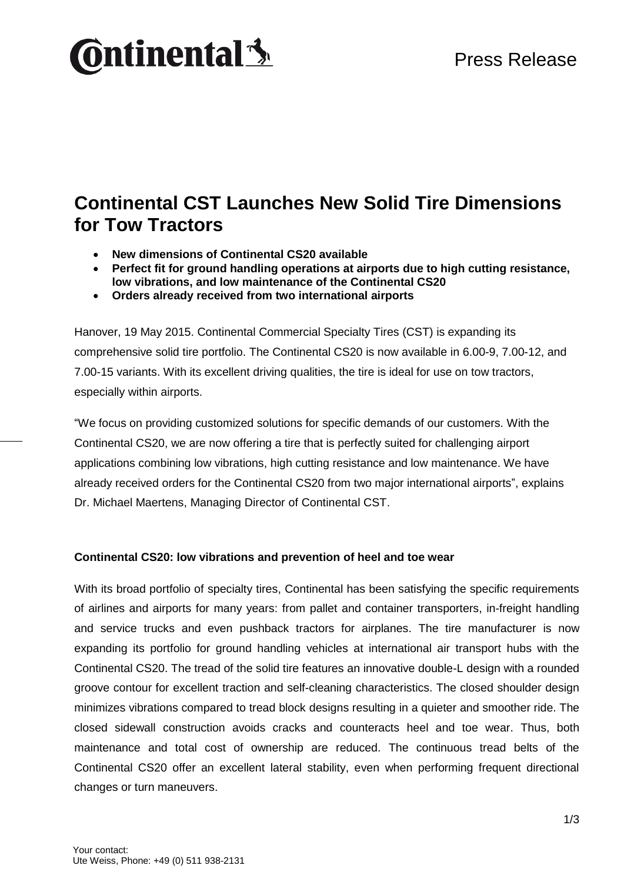# **Ontinental3**

# **Continental CST Launches New Solid Tire Dimensions for Tow Tractors**

- **New dimensions of Continental CS20 available**
- **Perfect fit for ground handling operations at airports due to high cutting resistance, low vibrations, and low maintenance of the Continental CS20**
- **Orders already received from two international airports**

Hanover, 19 May 2015. Continental Commercial Specialty Tires (CST) is expanding its comprehensive solid tire portfolio. The Continental CS20 is now available in 6.00-9, 7.00-12, and 7.00-15 variants. With its excellent driving qualities, the tire is ideal for use on tow tractors, especially within airports.

"We focus on providing customized solutions for specific demands of our customers. With the Continental CS20, we are now offering a tire that is perfectly suited for challenging airport applications combining low vibrations, high cutting resistance and low maintenance. We have already received orders for the Continental CS20 from two major international airports", explains Dr. Michael Maertens, Managing Director of Continental CST.

# **Continental CS20: low vibrations and prevention of heel and toe wear**

With its broad portfolio of specialty tires, Continental has been satisfying the specific requirements of airlines and airports for many years: from pallet and container transporters, in-freight handling and service trucks and even pushback tractors for airplanes. The tire manufacturer is now expanding its portfolio for ground handling vehicles at international air transport hubs with the Continental CS20. The tread of the solid tire features an innovative double-L design with a rounded groove contour for excellent traction and self-cleaning characteristics. The closed shoulder design minimizes vibrations compared to tread block designs resulting in a quieter and smoother ride. The closed sidewall construction avoids cracks and counteracts heel and toe wear. Thus, both maintenance and total cost of ownership are reduced. The continuous tread belts of the Continental CS20 offer an excellent lateral stability, even when performing frequent directional changes or turn maneuvers.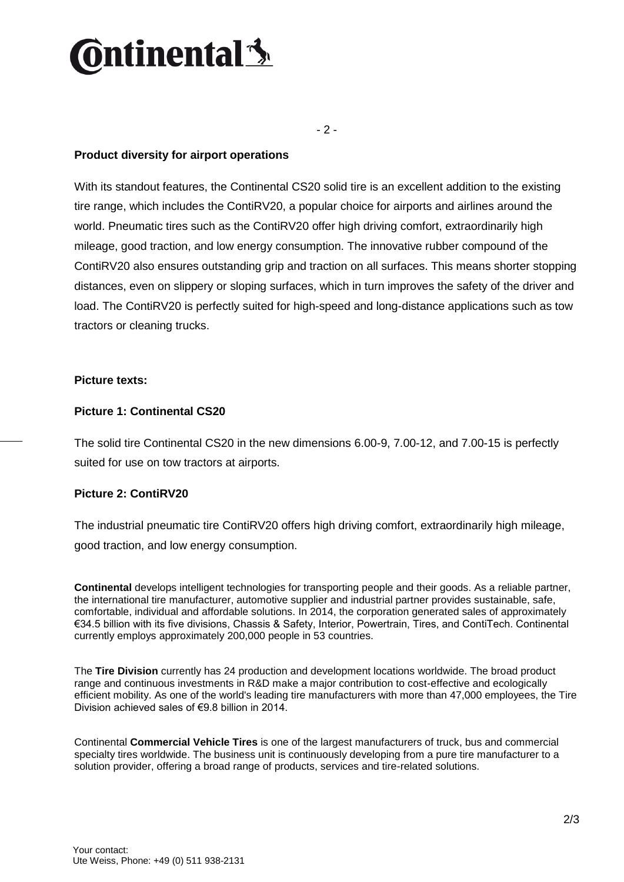# <u> dinental th</u>

- 2 -

# **Product diversity for airport operations**

With its standout features, the Continental CS20 solid tire is an excellent addition to the existing tire range, which includes the ContiRV20, a popular choice for airports and airlines around the world. Pneumatic tires such as the ContiRV20 offer high driving comfort, extraordinarily high mileage, good traction, and low energy consumption. The innovative rubber compound of the ContiRV20 also ensures outstanding grip and traction on all surfaces. This means shorter stopping distances, even on slippery or sloping surfaces, which in turn improves the safety of the driver and load. The ContiRV20 is perfectly suited for high-speed and long-distance applications such as tow tractors or cleaning trucks.

#### **Picture texts:**

### **Picture 1: Continental CS20**

The solid tire Continental CS20 in the new dimensions 6.00-9, 7.00-12, and 7.00-15 is perfectly suited for use on tow tractors at airports.

# **Picture 2: ContiRV20**

The industrial pneumatic tire ContiRV20 offers high driving comfort, extraordinarily high mileage, good traction, and low energy consumption.

**Continental** develops intelligent technologies for transporting people and their goods. As a reliable partner, the international tire manufacturer, automotive supplier and industrial partner provides sustainable, safe, comfortable, individual and affordable solutions. In 2014, the corporation generated sales of approximately €34.5 billion with its five divisions, Chassis & Safety, Interior, Powertrain, Tires, and ContiTech. Continental currently employs approximately 200,000 people in 53 countries.

The **Tire Division** currently has 24 production and development locations worldwide. The broad product range and continuous investments in R&D make a major contribution to cost-effective and ecologically efficient mobility. As one of the world's leading tire manufacturers with more than 47,000 employees, the Tire Division achieved sales of €9.8 billion in 2014.

Continental **Commercial Vehicle Tires** is one of the largest manufacturers of truck, bus and commercial specialty tires worldwide. The business unit is continuously developing from a pure tire manufacturer to a solution provider, offering a broad range of products, services and tire-related solutions.